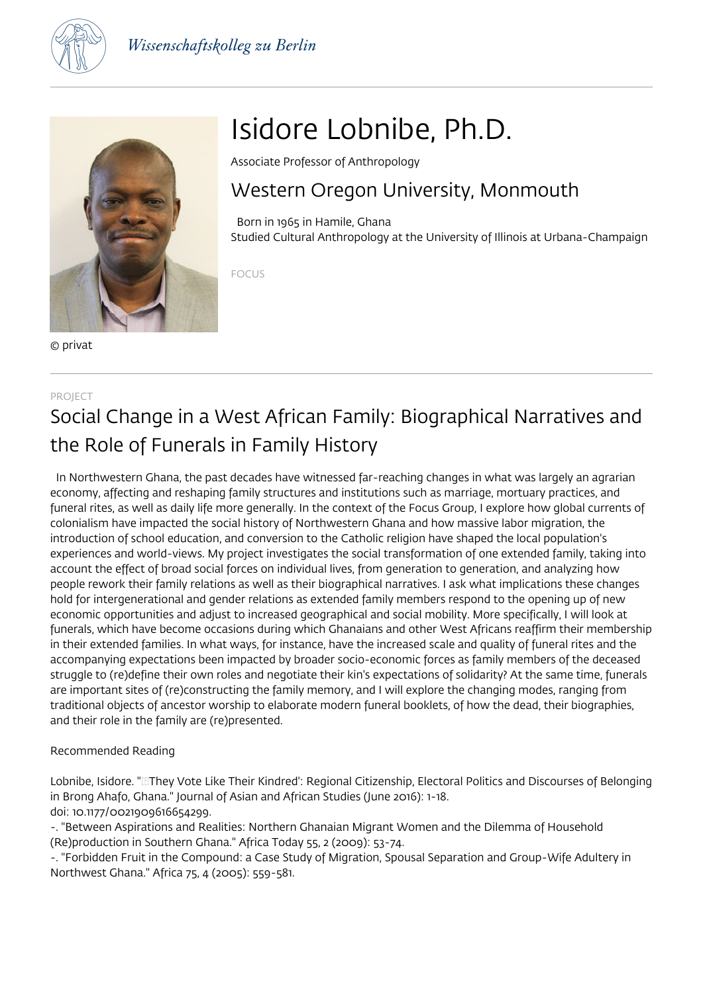



© privat

# Isidore Lobnibe, Ph.D.

Associate Professor of Anthropology

### Western Oregon University, Monmouth

 Born in 1965 in Hamile, Ghana Studied Cultural Anthropology at the University of Illinois at Urbana-Champaign

FOCUS

### PROJECT Social Change in a West African Family: Biographical Narratives and the Role of Funerals in Family History

 In Northwestern Ghana, the past decades have witnessed far-reaching changes in what was largely an agrarian economy, affecting and reshaping family structures and institutions such as marriage, mortuary practices, and funeral rites, as well as daily life more generally. In the context of the Focus Group, I explore how global currents of colonialism have impacted the social history of Northwestern Ghana and how massive labor migration, the introduction of school education, and conversion to the Catholic religion have shaped the local population's experiences and world-views. My project investigates the social transformation of one extended family, taking into account the effect of broad social forces on individual lives, from generation to generation, and analyzing how people rework their family relations as well as their biographical narratives. I ask what implications these changes hold for intergenerational and gender relations as extended family members respond to the opening up of new economic opportunities and adjust to increased geographical and social mobility. More specifically, I will look at funerals, which have become occasions during which Ghanaians and other West Africans reaffirm their membership in their extended families. In what ways, for instance, have the increased scale and quality of funeral rites and the accompanying expectations been impacted by broader socio-economic forces as family members of the deceased struggle to (re)define their own roles and negotiate their kin's expectations of solidarity? At the same time, funerals are important sites of (re)constructing the family memory, and I will explore the changing modes, ranging from traditional objects of ancestor worship to elaborate modern funeral booklets, of how the dead, their biographies, and their role in the family are (re)presented.

Recommended Reading

Lobnibe, Isidore. "They Vote Like Their Kindred': Regional Citizenship, Electoral Politics and Discourses of Belonging in Brong Ahafo, Ghana." Journal of Asian and African Studies (June 2016): 1-18. doi: 10.1177/0021909616654299.

-. "Between Aspirations and Realities: Northern Ghanaian Migrant Women and the Dilemma of Household (Re)production in Southern Ghana." Africa Today 55, 2 (2009): 53-74.

-. "Forbidden Fruit in the Compound: a Case Study of Migration, Spousal Separation and Group-Wife Adultery in Northwest Ghana." Africa 75, 4 (2005): 559-581.